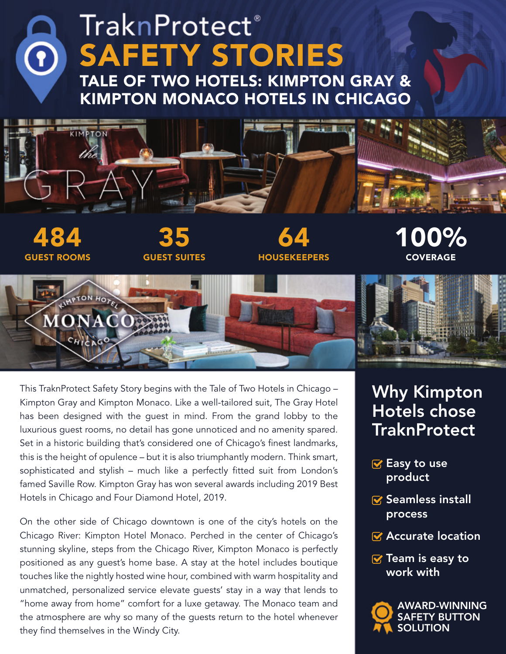# **TraknProtect**® SAFETY STORIES O TALE OF TWO HOTELS: KIMPTON GRAY & KIMPTON MONACO HOTELS IN CHICAGO **KIMPTON** 35 100% 484 64 HOUSEKEEPERS GUEST ROOMS GUEST SUITES **COVERAGE UMPTON HOTE**

This TraknProtect Safety Story begins with the Tale of Two Hotels in Chicago – Kimpton Gray and Kimpton Monaco. Like a well-tailored suit, The Gray Hotel has been designed with the guest in mind. From the grand lobby to the luxurious guest rooms, no detail has gone unnoticed and no amenity spared. Set in a historic building that's considered one of Chicago's finest landmarks, this is the height of opulence – but it is also triumphantly modern. Think smart, sophisticated and stylish – much like a perfectly fitted suit from London's famed Saville Row. Kimpton Gray has won several awards including 2019 Best Hotels in Chicago and Four Diamond Hotel, 2019.

**MONAC** 

On the other side of Chicago downtown is one of the city's hotels on the Chicago River: Kimpton Hotel Monaco. Perched in the center of Chicago's stunning skyline, steps from the Chicago River, Kimpton Monaco is perfectly positioned as any guest's home base. A stay at the hotel includes boutique touches like the nightly hosted wine hour, combined with warm hospitality and unmatched, personalized service elevate guests' stay in a way that lends to "home away from home" comfort for a luxe getaway. The Monaco team and the atmosphere are why so many of the guests return to the hotel whenever they find themselves in the Windy City.

## Why Kimpton Hotels chose **TraknProtect**

- $\mathbf{\nabla}$  Easy to use product
- $\triangledown$  Seamless install process
- **★** Accurate location
- $\sqrt{ }$  Team is easy to work with

AWARD-WINNING SAFETY BUTTON **SOLUTION**